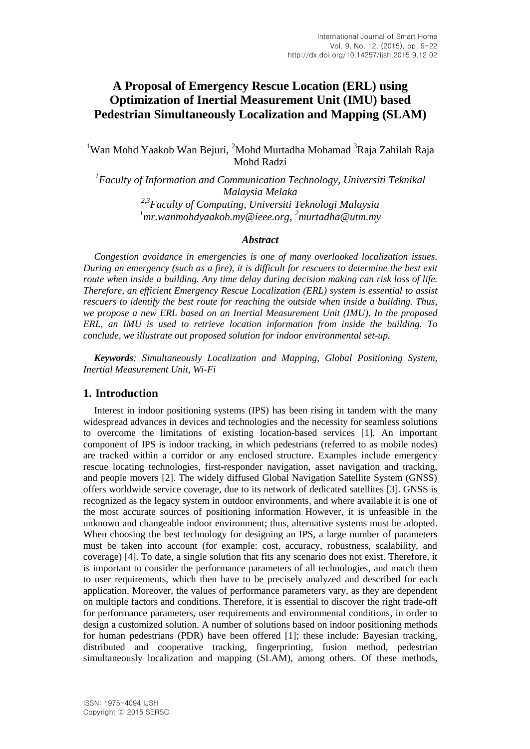# **A Proposal of Emergency Rescue Location (ERL) using Optimization of Inertial Measurement Unit (IMU) based Pedestrian Simultaneously Localization and Mapping (SLAM)**

<sup>1</sup>Wan Mohd Yaakob Wan Bejuri, <sup>2</sup>Mohd Murtadha Mohamad <sup>3</sup>Raja Zahilah Raja Mohd Radzi

<sup>1</sup> Faculty of Information and Communication Technology, Universiti Teknikal *Malaysia Melaka 2,3Faculty of Computing, Universiti Teknologi Malaysia <sup>1</sup>mr.wanmohdyaakob.my@ieee.org, <sup>2</sup>murtadha@utm.my*

### *Abstract*

*Congestion avoidance in emergencies is one of many overlooked localization issues. During an emergency (such as a fire), it is difficult for rescuers to determine the best exit route when inside a building. Any time delay during decision making can risk loss of life. Therefore, an efficient Emergency Rescue Localization (ERL) system is essential to assist rescuers to identify the best route for reaching the outside when inside a building. Thus, we propose a new ERL based on an Inertial Measurement Unit (IMU). In the proposed ERL, an IMU is used to retrieve location information from inside the building. To conclude, we illustrate out proposed solution for indoor environmental set-up.*

*Keywords: Simultaneously Localization and Mapping, Global Positioning System, Inertial Measurement Unit, Wi-Fi*

### **1. Introduction**

Interest in indoor positioning systems (IPS) has been rising in tandem with the many widespread advances in devices and technologies and the necessity for seamless solutions to overcome the limitations of existing location-based services [1]. An important component of IPS is indoor tracking, in which pedestrians (referred to as mobile nodes) are tracked within a corridor or any enclosed structure. Examples include emergency rescue locating technologies, first-responder navigation, asset navigation and tracking, and people movers [2]. The widely diffused Global Navigation Satellite System (GNSS) offers worldwide service coverage, due to its network of dedicated satellites [3]. GNSS is recognized as the legacy system in outdoor environments, and where available it is one of the most accurate sources of positioning information However, it is unfeasible in the unknown and changeable indoor environment; thus, alternative systems must be adopted. When choosing the best technology for designing an IPS, a large number of parameters must be taken into account (for example: cost, accuracy, robustness, scalability, and coverage) [4]. To date, a single solution that fits any scenario does not exist. Therefore, it is important to consider the performance parameters of all technologies, and match them to user requirements, which then have to be precisely analyzed and described for each application. Moreover, the values of performance parameters vary, as they are dependent on multiple factors and conditions. Therefore, it is essential to discover the right trade-off for performance parameters, user requirements and environmental conditions, in order to design a customized solution. A number of solutions based on indoor positioning methods for human pedestrians (PDR) have been offered [1]; these include: Bayesian tracking, distributed and cooperative tracking, fingerprinting, fusion method, pedestrian simultaneously localization and mapping (SLAM), among others. Of these methods,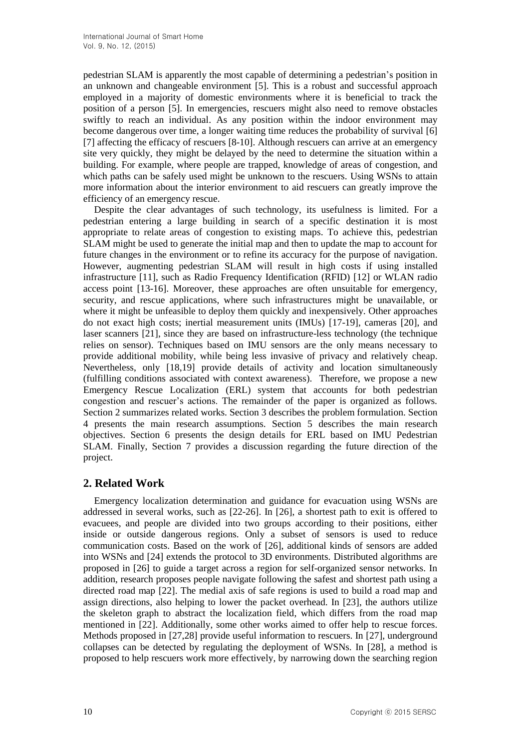pedestrian SLAM is apparently the most capable of determining a pedestrian's position in an unknown and changeable environment [5]. This is a robust and successful approach employed in a majority of domestic environments where it is beneficial to track the position of a person [5]. In emergencies, rescuers might also need to remove obstacles swiftly to reach an individual. As any position within the indoor environment may become dangerous over time, a longer waiting time reduces the probability of survival [6] [7] affecting the efficacy of rescuers [8-10]. Although rescuers can arrive at an emergency site very quickly, they might be delayed by the need to determine the situation within a building. For example, where people are trapped, knowledge of areas of congestion, and which paths can be safely used might be unknown to the rescuers. Using WSNs to attain more information about the interior environment to aid rescuers can greatly improve the efficiency of an emergency rescue.

Despite the clear advantages of such technology, its usefulness is limited. For a pedestrian entering a large building in search of a specific destination it is most appropriate to relate areas of congestion to existing maps. To achieve this, pedestrian SLAM might be used to generate the initial map and then to update the map to account for future changes in the environment or to refine its accuracy for the purpose of navigation. However, augmenting pedestrian SLAM will result in high costs if using installed infrastructure [11], such as Radio Frequency Identification (RFID) [12] or WLAN radio access point [13-16]. Moreover, these approaches are often unsuitable for emergency, security, and rescue applications, where such infrastructures might be unavailable, or where it might be unfeasible to deploy them quickly and inexpensively. Other approaches do not exact high costs; inertial measurement units (IMUs) [17-19], cameras [20], and laser scanners [21], since they are based on infrastructure-less technology (the technique relies on sensor). Techniques based on IMU sensors are the only means necessary to provide additional mobility, while being less invasive of privacy and relatively cheap. Nevertheless, only [18,19] provide details of activity and location simultaneously (fulfilling conditions associated with context awareness). Therefore, we propose a new Emergency Rescue Localization (ERL) system that accounts for both pedestrian congestion and rescuer's actions. The remainder of the paper is organized as follows. Section 2 summarizes related works. Section 3 describes the problem formulation. Section 4 presents the main research assumptions. Section 5 describes the main research objectives. Section 6 presents the design details for ERL based on IMU Pedestrian SLAM. Finally, Section 7 provides a discussion regarding the future direction of the project.

# **2. Related Work**

Emergency localization determination and guidance for evacuation using WSNs are addressed in several works, such as [22-26]. In [26], a shortest path to exit is offered to evacuees, and people are divided into two groups according to their positions, either inside or outside dangerous regions. Only a subset of sensors is used to reduce communication costs. Based on the work of [26], additional kinds of sensors are added into WSNs and [24] extends the protocol to 3D environments. Distributed algorithms are proposed in [26] to guide a target across a region for self-organized sensor networks. In addition, research proposes people navigate following the safest and shortest path using a directed road map [22]. The medial axis of safe regions is used to build a road map and assign directions, also helping to lower the packet overhead. In [23], the authors utilize the skeleton graph to abstract the localization field, which differs from the road map mentioned in [22]. Additionally, some other works aimed to offer help to rescue forces. Methods proposed in [27,28] provide useful information to rescuers. In [27], underground collapses can be detected by regulating the deployment of WSNs. In [28], a method is proposed to help rescuers work more effectively, by narrowing down the searching region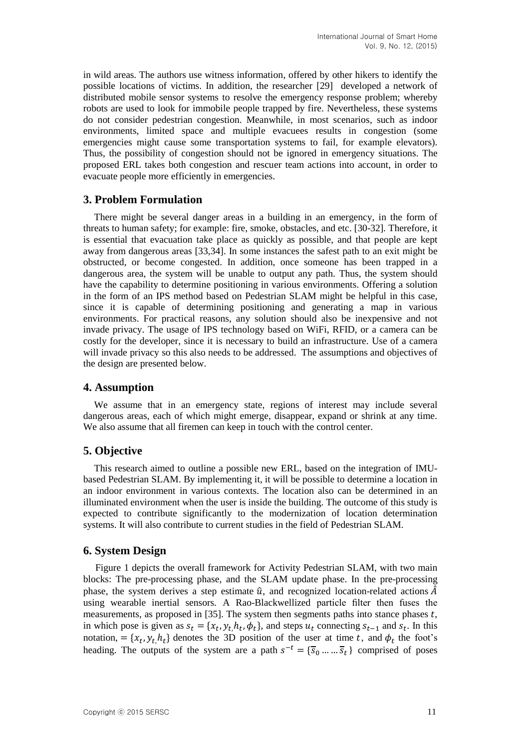in wild areas. The authors use witness information, offered by other hikers to identify the possible locations of victims. In addition, the researcher [29] developed a network of distributed mobile sensor systems to resolve the emergency response problem; whereby robots are used to look for immobile people trapped by fire. Nevertheless, these systems do not consider pedestrian congestion. Meanwhile, in most scenarios, such as indoor environments, limited space and multiple evacuees results in congestion (some emergencies might cause some transportation systems to fail, for example elevators). Thus, the possibility of congestion should not be ignored in emergency situations. The proposed ERL takes both congestion and rescuer team actions into account, in order to evacuate people more efficiently in emergencies.

# **3. Problem Formulation**

There might be several danger areas in a building in an emergency, in the form of threats to human safety; for example: fire, smoke, obstacles, and etc. [30-32]*.* Therefore, it is essential that evacuation take place as quickly as possible, and that people are kept away from dangerous areas [33,34]. In some instances the safest path to an exit might be obstructed, or become congested. In addition, once someone has been trapped in a dangerous area, the system will be unable to output any path. Thus, the system should have the capability to determine positioning in various environments. Offering a solution in the form of an IPS method based on Pedestrian SLAM might be helpful in this case, since it is capable of determining positioning and generating a map in various environments. For practical reasons, any solution should also be inexpensive and not invade privacy. The usage of IPS technology based on WiFi, RFID, or a camera can be costly for the developer, since it is necessary to build an infrastructure. Use of a camera will invade privacy so this also needs to be addressed. The assumptions and objectives of the design are presented below.

# **4. Assumption**

We assume that in an emergency state, regions of interest may include several dangerous areas, each of which might emerge, disappear, expand or shrink at any time. We also assume that all firemen can keep in touch with the control center.

# **5. Objective**

This research aimed to outline a possible new ERL, based on the integration of IMUbased Pedestrian SLAM. By implementing it, it will be possible to determine a location in an indoor environment in various contexts. The location also can be determined in an illuminated environment when the user is inside the building. The outcome of this study is expected to contribute significantly to the modernization of location determination systems. It will also contribute to current studies in the field of Pedestrian SLAM.

# **6. System Design**

Figure 1 depicts the overall framework for Activity Pedestrian SLAM, with two main blocks: The pre-processing phase, and the SLAM update phase. In the pre-processing phase, the system derives a step estimate  $\hat{u}$ , and recognized location-related actions  $\hat{A}$ using wearable inertial sensors. A Rao-Blackwellized particle filter then fuses the measurements, as proposed in [35]. The system then segments paths into stance phases  $t$ , in which pose is given as  $s_t = \{x_t, y_t, h_t, \phi_t\}$ , and steps  $u_t$  connecting  $s_{t-1}$  and  $s_t$ . In this notation, = { $x_t$ ,  $y_t$ , $h_t$ } denotes the 3D position of the user at time t, and  $\phi_t$  the foot's heading. The outputs of the system are a path  $s^{-t} = \{\overline{s}_0 \dots \overline{s}_t\}$  comprised of poses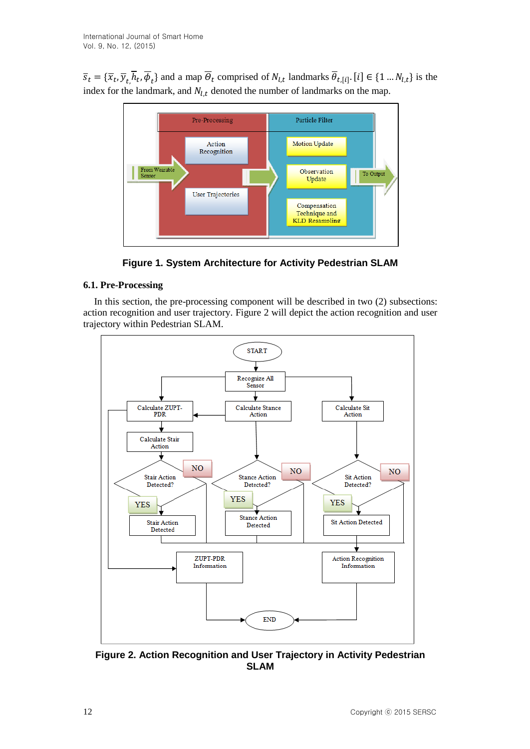$\overline{s}_t = {\overline{x}_t, \overline{y}_t, h_t, \phi_t}$  and a map  $\overline{\Theta}_t$  comprised of  $N_{t,t}$  landmarks  $\theta_{t,[i]}$ . [i]  $\in \{1 \dots N_{t,t}\}$  is the index for the landmark, and  $N_{l,t}$  denoted the number of landmarks on the map.



**Figure 1. System Architecture for Activity Pedestrian SLAM**

# **6.1. Pre-Processing**

In this section, the pre-processing component will be described in two (2) subsections: action recognition and user trajectory. Figure 2 will depict the action recognition and user trajectory within Pedestrian SLAM.



**Figure 2. Action Recognition and User Trajectory in Activity Pedestrian SLAM**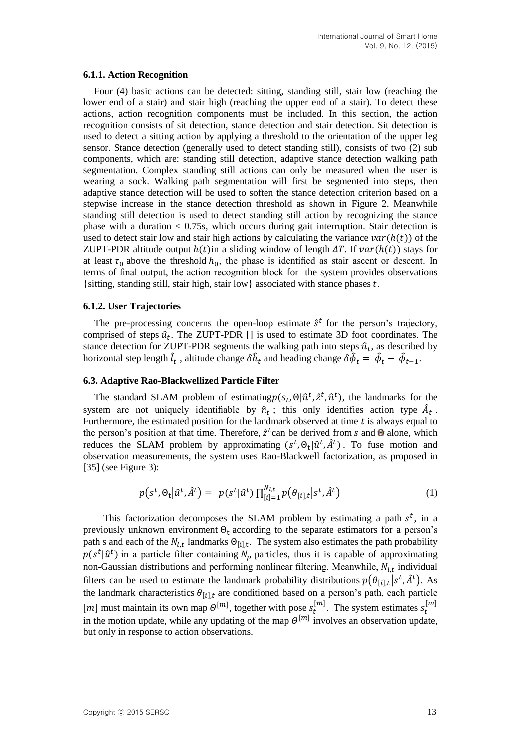#### **6.1.1. Action Recognition**

Four (4) basic actions can be detected: sitting, standing still, stair low (reaching the lower end of a stair) and stair high (reaching the upper end of a stair). To detect these actions, action recognition components must be included. In this section, the action recognition consists of sit detection, stance detection and stair detection. Sit detection is used to detect a sitting action by applying a threshold to the orientation of the upper leg sensor. Stance detection (generally used to detect standing still), consists of two (2) sub components, which are: standing still detection, adaptive stance detection walking path segmentation. Complex standing still actions can only be measured when the user is wearing a sock. Walking path segmentation will first be segmented into steps, then adaptive stance detection will be used to soften the stance detection criterion based on a stepwise increase in the stance detection threshold as shown in Figure 2. Meanwhile standing still detection is used to detect standing still action by recognizing the stance phase with a duration  $< 0.75$ s, which occurs during gait interruption. Stair detection is used to detect stair low and stair high actions by calculating the variance  $var(h(t))$  of the ZUPT-PDR altitude output  $h(t)$ in a sliding window of length  $\Delta T$ . If  $var(h(t))$  stays for at least  $\tau_0$  above the threshold  $h_0$ , the phase is identified as stair ascent or descent. In terms of final output, the action recognition block for the system provides observations {sitting, standing still, stair high, stair low} associated with stance phases  $t$ .

#### **6.1.2. User Trajectories**

The pre-processing concerns the open-loop estimate  $\hat{s}^t$  for the person's trajectory, comprised of steps  $\hat{u}_t$ . The ZUPT-PDR [] is used to estimate 3D foot coordinates. The stance detection for ZUPT-PDR segments the walking path into steps  $\hat{u}_t$ , as described by horizontal step length  $\hat{l}_t$  , altitude change  $\delta \hat{h}_t$  and heading change  $\delta \hat{\phi}_t = \hat{\phi}_t - \hat{\phi}_{t-1}$ .

#### **6.3. Adaptive Rao-Blackwellized Particle Filter**

The standard SLAM problem of estimating  $p(s_t, \theta | \hat{u}^t, \hat{z}^t, \hat{n}^t)$ , the landmarks for the system are not uniquely identifiable by  $\hat{n}_t$ ; this only identifies action type  $\hat{A}_t$ . Furthermore, the estimated position for the landmark observed at time  $t$  is always equal to the person's position at that time. Therefore,  $\hat{z}^t$  can be derived from s and  $\Theta$  alone, which reduces the SLAM problem by approximating  $(s^t, \theta_t | \hat{u}^t, \hat{A}^t)$ . To fuse motion and observation measurements, the system uses Rao-Blackwell factorization, as proposed in [35] (see Figure 3):

$$
p(s^t, \Theta_t | \hat{u}^t, \hat{A}^t) = p(s^t | \hat{u}^t) \prod_{[i] = 1}^{N_{l,t}} p(\theta_{[i],t} | s^t, \hat{A}^t)
$$
(1)

This factorization decomposes the SLAM problem by estimating a path  $s^t$ , in a previously unknown environment  $\Theta_t$  according to the separate estimators for a person's path s and each of the  $N_{l,t}$  landmarks  $\Theta_{[i],t}$ . The system also estimates the path probability  $p(s^t | \hat{u}^t)$  in a particle filter containing  $N_p$  particles, thus it is capable of approximating non-Gaussian distributions and performing nonlinear filtering. Meanwhile,  $N_{l,t}$  individual filters can be used to estimate the landmark probability distributions  $p(\theta_{[i],t}|s^t, \hat{A}^t)$ . As the landmark characteristics  $\theta_{[i],t}$  are conditioned based on a person's path, each particle [*m*] must maintain its own map  $\Theta^{[m]}$ , together with pose  $s_t^{[m]}$ . The system estimates  $s_t^{[m]}$ in the motion update, while any updating of the map  $\Theta^{[m]}$  involves an observation update, but only in response to action observations.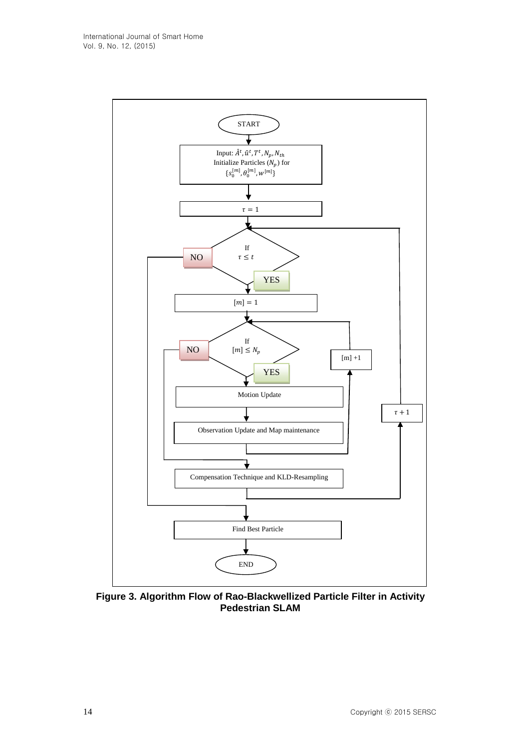

**Figure 3. Algorithm Flow of Rao-Blackwellized Particle Filter in Activity Pedestrian SLAM**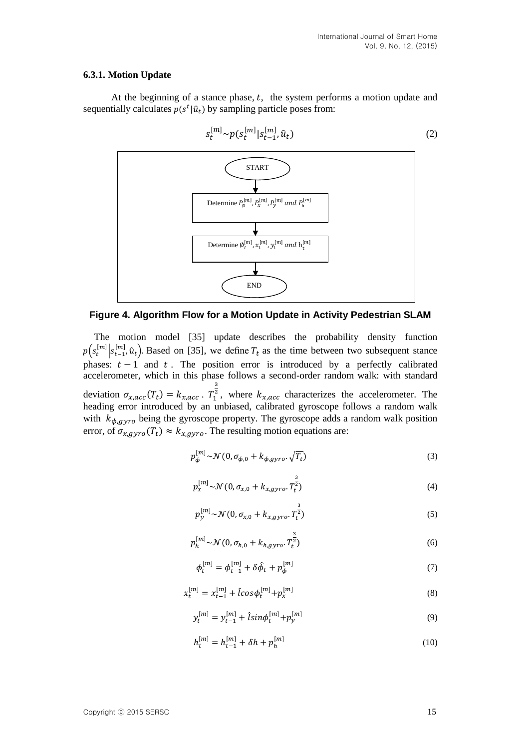#### **6.3.1. Motion Update**

At the beginning of a stance phase,  $t$ , the system performs a motion update and sequentially calculates  $p(s^t | \hat{u}_t)$  by sampling particle poses from:



**Figure 4. Algorithm Flow for a Motion Update in Activity Pedestrian SLAM**

The motion model [35] update describes the probability density function  $p(s_t^{[m]}|s_{t-1}^{[m]}, \hat{u}_t)$ . Based on [35], we define  $T_t$  as the time between two subsequent stance phases:  $t - 1$  and  $t$ . The position error is introduced by a perfectly calibrated accelerometer, which in this phase follows a second-order random walk: with standard deviation  $\sigma_{x,acc}(T_t) = k_{x,acc}$ .  $T_1^2$ 3 <sup>2</sup>, where  $k_{x,acc}$  characterizes the accelerometer. The heading error introduced by an unbiased, calibrated gyroscope follows a random walk with  $k_{\phi, gyro}$  being the gyroscope property. The gyroscope adds a random walk position error, of  $\sigma_{x,gyro}(T_t) \approx k_{x,gyro}$ . The resulting motion equations are:

$$
p_{\phi}^{[m]} \sim \mathcal{N}(0, \sigma_{\phi,0} + k_{\phi,gyro} \cdot \sqrt{T_t})
$$
\n<sup>(3)</sup>

$$
p_x^{[m]} \sim \mathcal{N}(0, \sigma_{x,0} + k_{x,gyro}.T_t^{\frac{3}{2}})
$$
\n(4)

$$
p_y^{[m]}\sim \mathcal{N}(0, \sigma_{x,0} + k_{x,gyro}.T_t^{\frac{3}{2}})
$$
 (5)

$$
p_h^{[m]}\sim \mathcal{N}(0, \sigma_{h,0} + k_{h,gyro}, T_t^{\frac{3}{2}})
$$
 (6)

$$
\phi_t^{[m]} = \phi_{t-1}^{[m]} + \delta \hat{\phi}_t + p_{\phi}^{[m]}
$$
\n(7)

$$
x_t^{[m]} = x_{t-1}^{[m]} + \hat{l} \cos \phi_t^{[m]} + p_x^{[m]}
$$
\n(8)

$$
y_t^{[m]} = y_{t-1}^{[m]} + \hat{l} \sin \phi_t^{[m]} + p_y^{[m]}
$$
\n(9)

$$
h_t^{[m]} = h_{t-1}^{[m]} + \delta h + p_h^{[m]}
$$
\n(10)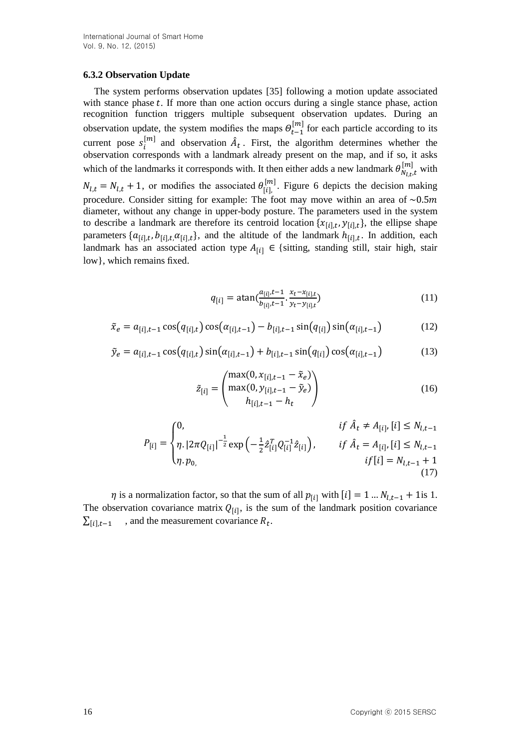### **6.3.2 Observation Update**

The system performs observation updates [35] following a motion update associated with stance phase  $t$ . If more than one action occurs during a single stance phase, action recognition function triggers multiple subsequent observation updates. During an observation update, the system modifies the maps  $\Theta_{t-1}^{[m]}$  for each particle according to its current pose  $s_i^{[m]}$  and observation  $\hat{A}_t$ . First, the algorithm determines whether the observation corresponds with a landmark already present on the map, and if so, it asks which of the landmarks it corresponds with. It then either adds a new landmark  $\theta_{N_{l,t},t}^{[m]}$  with  $N_{l,t} = N_{l,t} + 1$ , or modifies the associated  $\theta_{[i]}^{[m]}$ . Figure 6 depicts the decision making procedure. Consider sitting for example: The foot may move within an area of  $\sim 0.5$ m diameter, without any change in upper-body posture. The parameters used in the system to describe a landmark are therefore its centroid location  $\{x_{[i],t}, y_{[i],t}\}$ , the ellipse shape parameters  $\{a_{[i],t}, b_{[i],t}, a_{[i],t}\}$ , and the altitude of the landmark  $h_{[i],t}$ . In addition, each landmark has an associated action type  $A_{[i]} \in \{$  sitting, standing still, stair high, stair low}, which remains fixed.

$$
q_{[i]} = \operatorname{atan}(\frac{a_{[i]}, t-1}{b_{[i]}, t-1}, \frac{x_t - x_{[i], t}}{y_t - y_{[i], t}})
$$
(11)

$$
\tilde{x}_e = a_{[i],t-1} \cos(q_{[i],t}) \cos(\alpha_{[i],t-1}) - b_{[i],t-1} \sin(q_{[i]}) \sin(\alpha_{[i],t-1}) \tag{12}
$$

$$
\tilde{y}_e = a_{[i],t-1} \cos(q_{[i],t}) \sin(\alpha_{[i],t-1}) + b_{[i],t-1} \sin(q_{[i]}) \cos(\alpha_{[i],t-1}) \tag{13}
$$

$$
\tilde{z}_{[i]} = \begin{pmatrix} \max(0, x_{[i], t-1} - \tilde{x}_e) \\ \max(0, y_{[i], t-1} - \tilde{y}_e) \\ h_{[i], t-1} - h_t \end{pmatrix}
$$
(16)

$$
P_{[i]} = \begin{cases} 0, & if \ \hat{A}_t \neq A_{[i]}, [i] \leq N_{l,t-1} \\ \eta. |2\pi Q_{[i]}|^{-\frac{1}{2}} \exp\left(-\frac{1}{2} \hat{z}_{[i]}^T Q_{[i]}^{-1} \hat{z}_{[i]}\right), & if \ \hat{A}_t = A_{[i]}, [i] \leq N_{l,t-1} \\ \eta. p_{0,} & if [i] = N_{l,t-1} + 1 \end{cases}
$$
\n(17)

 $\eta$  is a normalization factor, so that the sum of all  $p_{[i]}$  with  $[i] = 1 ... N_{l,t-1} + 1$ is 1. The observation covariance matrix  $Q_{[i]}$ , is the sum of the landmark position covariance  $\sum_{i}^{z}[i]$ ,  $t-1$ , and the measurement covariance  $R_t$ .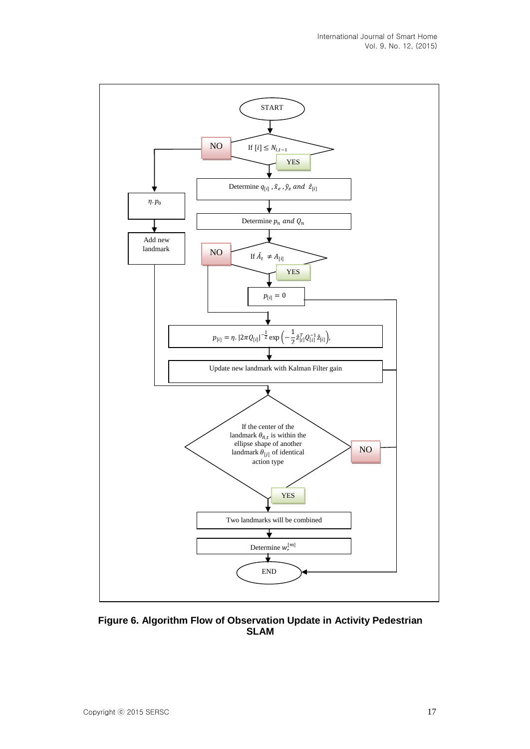

**Figure 6. Algorithm Flow of Observation Update in Activity Pedestrian SLAM**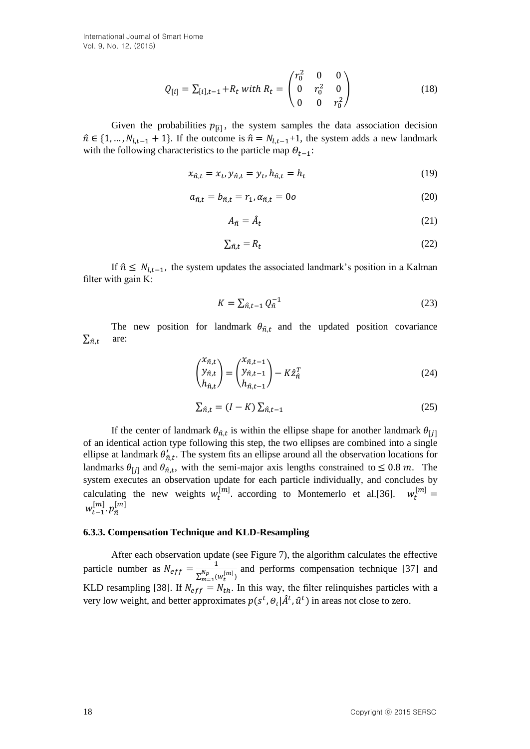International Journal of Smart Home Vol. 9, No. 12, (2015)

$$
Q_{[i]} = \sum_{[i],t-1} +R_t \text{ with } R_t = \begin{pmatrix} r_0^2 & 0 & 0 \\ 0 & r_0^2 & 0 \\ 0 & 0 & r_0^2 \end{pmatrix}
$$
 (18)

Given the probabilities  $p_{[i]}$ , the system samples the data association decision  $\hat{n} \in \{1, ..., N_{l,t-1} + 1\}$ . If the outcome is  $\hat{n} = N_{l,t-1}+1$ , the system adds a new landmark with the following characteristics to the particle map  $\Theta_{t-1}$ :

$$
x_{\hat{n},t} = x_t, y_{\hat{n},t} = y_t, h_{\hat{n},t} = h_t
$$
\n(19)

$$
a_{\hat{n},t} = b_{\hat{n},t} = r_1, \alpha_{\hat{n},t} = 0
$$
\n<sup>(20)</sup>

$$
A_{\hat{n}} = \hat{A}_t \tag{21}
$$

$$
\sum_{\hat{n},t} = R_t \tag{22}
$$

If  $\hat{n} \leq N_{l,t-1}$ , the system updates the associated landmark's position in a Kalman filter with gain K:

$$
K = \sum_{\hat{n},t-1} Q_{\hat{n}}^{-1} \tag{23}
$$

The new position for landmark  $\theta_{\hat{n},t}$  and the updated position covariance  $\sum_{\hat{n},t}$  are:

$$
\begin{pmatrix} x_{\hat{n},t} \\ y_{\hat{n},t} \\ h_{\hat{n},t} \end{pmatrix} = \begin{pmatrix} x_{\hat{n},t-1} \\ y_{\hat{n},t-1} \\ h_{\hat{n},t-1} \end{pmatrix} - K \hat{z}_{\hat{n}}^T
$$
\n(24)

$$
\sum_{\hat{n},t} = (I - K) \sum_{\hat{n},t-1} \tag{25}
$$

If the center of landmark  $\theta_{\hat{n},t}$  is within the ellipse shape for another landmark  $\theta_{[j]}$ of an identical action type following this step, the two ellipses are combined into a single ellipse at landmark  $\theta'_{n,t}$ . The system fits an ellipse around all the observation locations for landmarks  $\theta_{[j]}$  and  $\theta_{\hat{n},t}$ , with the semi-major axis lengths constrained to  $\leq 0.8$  m. The system executes an observation update for each particle individually, and concludes by calculating the new weights  $w_t^{[m]}$  according to Montemerlo et al.[36].  $w_t^{[m]} =$  $w_{t-1}^{[m]}$ .  $p_{\hat{n}}^{[m]}$ 

#### **6.3.3. Compensation Technique and KLD-Resampling**

After each observation update (see Figure 7), the algorithm calculates the effective particle number as  $N_{eff} = \frac{1}{N_{eff}}$  $\sum_{m=1}^{Np} (w_t^{[m]})$ and performs compensation technique [37] and KLD resampling [38]. If  $N_{eff} = N_{th}$ . In this way, the filter relinquishes particles with a very low weight, and better approximates  $p(s^t, \theta_t | \hat{A}^t, \hat{u}^t)$  in areas not close to zero.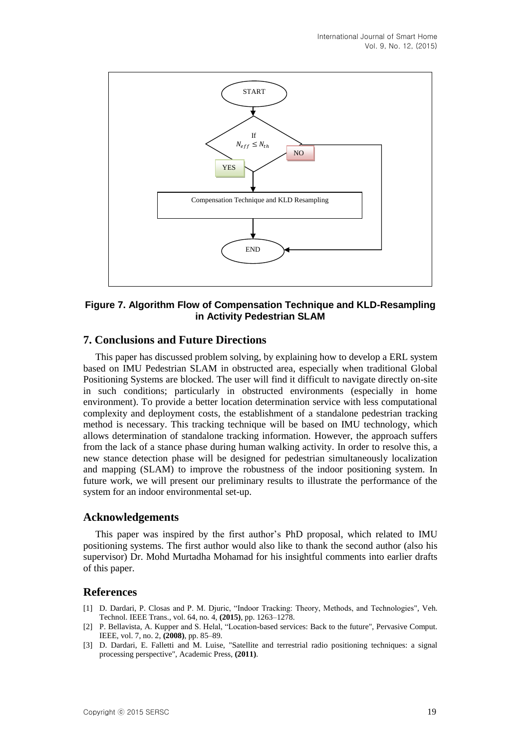

### **Figure 7. Algorithm Flow of Compensation Technique and KLD-Resampling in Activity Pedestrian SLAM**

# **7. Conclusions and Future Directions**

This paper has discussed problem solving, by explaining how to develop a ERL system based on IMU Pedestrian SLAM in obstructed area, especially when traditional Global Positioning Systems are blocked. The user will find it difficult to navigate directly on-site in such conditions; particularly in obstructed environments (especially in home environment). To provide a better location determination service with less computational complexity and deployment costs, the establishment of a standalone pedestrian tracking method is necessary. This tracking technique will be based on IMU technology, which allows determination of standalone tracking information. However, the approach suffers from the lack of a stance phase during human walking activity. In order to resolve this, a new stance detection phase will be designed for pedestrian simultaneously localization and mapping (SLAM) to improve the robustness of the indoor positioning system. In future work, we will present our preliminary results to illustrate the performance of the system for an indoor environmental set-up.

### **Acknowledgements**

This paper was inspired by the first author's PhD proposal, which related to IMU positioning systems. The first author would also like to thank the second author (also his supervisor) Dr. Mohd Murtadha Mohamad for his insightful comments into earlier drafts of this paper.

### **References**

- [1] D. Dardari, P. Closas and P. M. Djuric, "Indoor Tracking: Theory, Methods, and Technologies", Veh. Technol. IEEE Trans., vol. 64, no. 4, **(2015)**, pp. 1263–1278.
- [2] P. Bellavista, A. Kupper and S. Helal, "Location-based services: Back to the future", Pervasive Comput. IEEE, vol. 7, no. 2, **(2008)**, pp. 85–89.
- [3] D. Dardari, E. Falletti and M. Luise, "Satellite and terrestrial radio positioning techniques: a signal processing perspective", Academic Press, **(2011)**.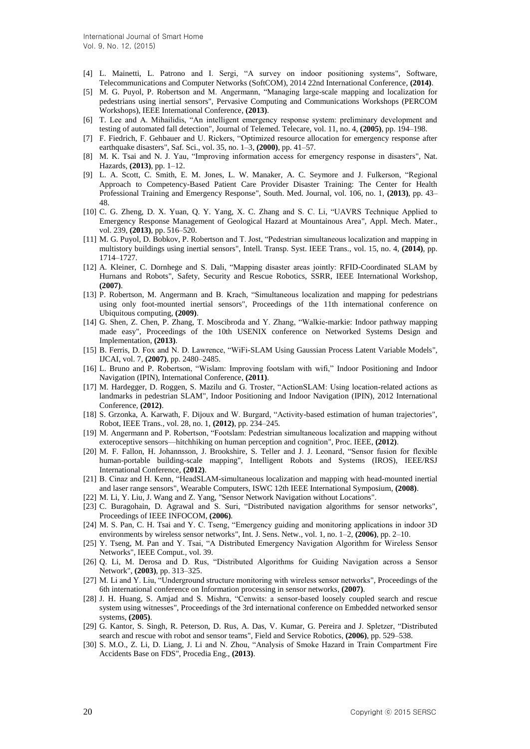- [4] L. Mainetti, L. Patrono and I. Sergi, "A survey on indoor positioning systems", Software, Telecommunications and Computer Networks (SoftCOM), 2014 22nd International Conference, **(2014)**.
- [5] M. G. Puyol, P. Robertson and M. Angermann, "Managing large-scale mapping and localization for pedestrians using inertial sensors", Pervasive Computing and Communications Workshops (PERCOM Workshops), IEEE International Conference, **(2013)**.
- [6] T. Lee and A. Mihailidis, "An intelligent emergency response system: preliminary development and testing of automated fall detection", Journal of Telemed. Telecare, vol. 11, no. 4, **(2005)**, pp. 194–198.
- [7] F. Fiedrich, F. Gehbauer and U. Rickers, "Optimized resource allocation for emergency response after earthquake disasters", Saf. Sci., vol. 35, no. 1–3, **(2000)**, pp. 41–57.
- [8] M. K. Tsai and N. J. Yau, "Improving information access for emergency response in disasters", Nat. Hazards, **(2013)**, pp. 1–12.
- [9] L. A. Scott, C. Smith, E. M. Jones, L. W. Manaker, A. C. Seymore and J. Fulkerson, "Regional Approach to Competency-Based Patient Care Provider Disaster Training: The Center for Health Professional Training and Emergency Response", South. Med. Journal, vol. 106, no. 1, **(2013)**, pp. 43– 48.
- [10] C. G. Zheng, D. X. Yuan, Q. Y. Yang, X. C. Zhang and S. C. Li, "UAVRS Technique Applied to Emergency Response Management of Geological Hazard at Mountainous Area", Appl. Mech. Mater., vol. 239, **(2013)**, pp. 516–520.
- [11] M. G. Puyol, D. Bobkov, P. Robertson and T. Jost, "Pedestrian simultaneous localization and mapping in multistory buildings using inertial sensors", Intell. Transp. Syst. IEEE Trans., vol. 15, no. 4, **(2014)**, pp. 1714–1727.
- [12] A. Kleiner, C. Dornhege and S. Dali, "Mapping disaster areas jointly: RFID-Coordinated SLAM by Hurnans and Robots", Safety, Security and Rescue Robotics, SSRR, IEEE International Workshop, **(2007)**.
- [13] P. Robertson, M. Angermann and B. Krach, "Simultaneous localization and mapping for pedestrians using only foot-mounted inertial sensors", Proceedings of the 11th international conference on Ubiquitous computing, **(2009)**.
- [14] G. Shen, Z. Chen, P. Zhang, T. Moscibroda and Y. Zhang, "Walkie-markie: Indoor pathway mapping made easy", Proceedings of the 10th USENIX conference on Networked Systems Design and Implementation, **(2013)**.
- [15] B. Ferris, D. Fox and N. D. Lawrence, "WiFi-SLAM Using Gaussian Process Latent Variable Models", IJCAI, vol. 7, **(2007)**, pp. 2480–2485.
- [16] L. Bruno and P. Robertson, "Wislam: Improving footslam with wifi," Indoor Positioning and Indoor Navigation (IPIN), International Conference, **(2011)**.
- [17] M. Hardegger, D. Roggen, S. Mazilu and G. Troster, "ActionSLAM: Using location-related actions as landmarks in pedestrian SLAM", Indoor Positioning and Indoor Navigation (IPIN), 2012 International Conference, **(2012)**.
- [18] S. Grzonka, A. Karwath, F. Dijoux and W. Burgard, "Activity-based estimation of human trajectories", Robot, IEEE Trans., vol. 28, no. 1, **(2012)**, pp. 234–245.
- [19] M. Angermann and P. Robertson, "Footslam: Pedestrian simultaneous localization and mapping without exteroceptive sensors—hitchhiking on human perception and cognition", Proc. IEEE, **(2012)**.
- [20] M. F. Fallon, H. Johannsson, J. Brookshire, S. Teller and J. J. Leonard, "Sensor fusion for flexible human-portable building-scale mapping", Intelligent Robots and Systems (IROS), IEEE/RSJ International Conference, **(2012)**.
- [21] B. Cinaz and H. Kenn, "HeadSLAM-simultaneous localization and mapping with head-mounted inertial and laser range sensors", Wearable Computers, ISWC 12th IEEE International Symposium, **(2008)**.
- [22] M. Li, Y. Liu, J. Wang and Z. Yang, "Sensor Network Navigation without Locations".
- [23] C. Buragohain, D. Agrawal and S. Suri, "Distributed navigation algorithms for sensor networks", Proceedings of IEEE INFOCOM, **(2006)**.
- [24] M. S. Pan, C. H. Tsai and Y. C. Tseng, "Emergency guiding and monitoring applications in indoor 3D environments by wireless sensor networks", Int. J. Sens. Netw., vol. 1, no. 1–2, **(2006)**, pp. 2–10.
- [25] Y. Tseng, M. Pan and Y. Tsai, "A Distributed Emergency Navigation Algorithm for Wireless Sensor Networks", IEEE Comput., vol. 39.
- [26] Q. Li, M. Derosa and D. Rus, "Distributed Algorithms for Guiding Navigation across a Sensor Network", **(2003)**, pp. 313–325.
- [27] M. Li and Y. Liu, "Underground structure monitoring with wireless sensor networks", Proceedings of the 6th international conference on Information processing in sensor networks, **(2007)**.
- [28] J. H. Huang, S. Amjad and S. Mishra, "Cenwits: a sensor-based loosely coupled search and rescue system using witnesses", Proceedings of the 3rd international conference on Embedded networked sensor systems, **(2005)**.
- [29] G. Kantor, S. Singh, R. Peterson, D. Rus, A. Das, V. Kumar, G. Pereira and J. Spletzer, "Distributed search and rescue with robot and sensor teams", Field and Service Robotics, **(2006)**, pp. 529–538.
- [30] S. M.O., Z. Li, D. Liang, J. Li and N. Zhou, "Analysis of Smoke Hazard in Train Compartment Fire Accidents Base on FDS", Procedia Eng., **(2013)**.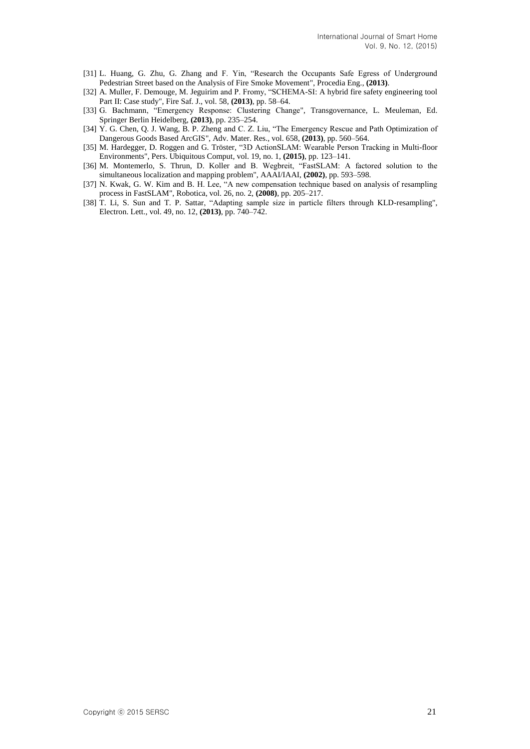- [31] L. Huang, G. Zhu, G. Zhang and F. Yin, "Research the Occupants Safe Egress of Underground Pedestrian Street based on the Analysis of Fire Smoke Movement", Procedia Eng., **(2013)**.
- [32] A. Muller, F. Demouge, M. Jeguirim and P. Fromy, "SCHEMA-SI: A hybrid fire safety engineering tool Part II: Case study", Fire Saf. J., vol. 58, **(2013)**, pp. 58–64.
- [33] G. Bachmann, "Emergency Response: Clustering Change", Transgovernance, L. Meuleman, Ed. Springer Berlin Heidelberg, **(2013)**, pp. 235–254.
- [34] Y. G. Chen, Q. J. Wang, B. P. Zheng and C. Z. Liu, "The Emergency Rescue and Path Optimization of Dangerous Goods Based ArcGIS", Adv. Mater. Res., vol. 658, **(2013)**, pp. 560–564.
- [35] M. Hardegger, D. Roggen and G. Tröster, "3D ActionSLAM: Wearable Person Tracking in Multi-floor Environments", Pers. Ubiquitous Comput, vol. 19, no. 1, **(2015)**, pp. 123–141.
- [36] M. Montemerlo, S. Thrun, D. Koller and B. Wegbreit, "FastSLAM: A factored solution to the simultaneous localization and mapping problem", AAAI/IAAI, **(2002)**, pp. 593–598.
- [37] N. Kwak, G. W. Kim and B. H. Lee, "A new compensation technique based on analysis of resampling process in FastSLAM", Robotica, vol. 26, no. 2, **(2008)**, pp. 205–217.
- [38] T. Li, S. Sun and T. P. Sattar, "Adapting sample size in particle filters through KLD-resampling", Electron. Lett., vol. 49, no. 12, **(2013)**, pp. 740–742.